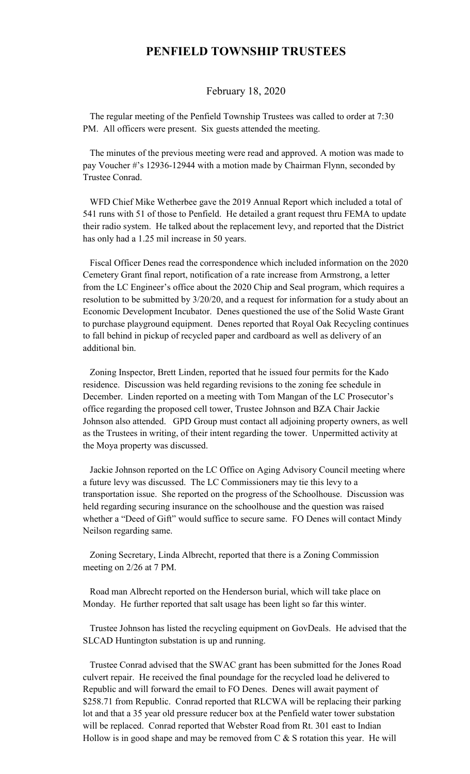## **PENFIELD TOWNSHIP TRUSTEES**

## February 18, 2020

 The regular meeting of the Penfield Township Trustees was called to order at 7:30 PM. All officers were present. Six guests attended the meeting.

 The minutes of the previous meeting were read and approved. A motion was made to pay Voucher #'s 12936-12944 with a motion made by Chairman Flynn, seconded by Trustee Conrad.

 WFD Chief Mike Wetherbee gave the 2019 Annual Report which included a total of 541 runs with 51 of those to Penfield. He detailed a grant request thru FEMA to update their radio system. He talked about the replacement levy, and reported that the District has only had a 1.25 mil increase in 50 years.

 Fiscal Officer Denes read the correspondence which included information on the 2020 Cemetery Grant final report, notification of a rate increase from Armstrong, a letter from the LC Engineer's office about the 2020 Chip and Seal program, which requires a resolution to be submitted by 3/20/20, and a request for information for a study about an Economic Development Incubator. Denes questioned the use of the Solid Waste Grant to purchase playground equipment. Denes reported that Royal Oak Recycling continues to fall behind in pickup of recycled paper and cardboard as well as delivery of an additional bin.

 Zoning Inspector, Brett Linden, reported that he issued four permits for the Kado residence. Discussion was held regarding revisions to the zoning fee schedule in December. Linden reported on a meeting with Tom Mangan of the LC Prosecutor's office regarding the proposed cell tower, Trustee Johnson and BZA Chair Jackie Johnson also attended. GPD Group must contact all adjoining property owners, as well as the Trustees in writing, of their intent regarding the tower. Unpermitted activity at the Moya property was discussed.

 Jackie Johnson reported on the LC Office on Aging Advisory Council meeting where a future levy was discussed. The LC Commissioners may tie this levy to a transportation issue. She reported on the progress of the Schoolhouse. Discussion was held regarding securing insurance on the schoolhouse and the question was raised whether a "Deed of Gift" would suffice to secure same. FO Denes will contact Mindy Neilson regarding same.

 Zoning Secretary, Linda Albrecht, reported that there is a Zoning Commission meeting on 2/26 at 7 PM.

 Road man Albrecht reported on the Henderson burial, which will take place on Monday. He further reported that salt usage has been light so far this winter.

 Trustee Johnson has listed the recycling equipment on GovDeals. He advised that the SLCAD Huntington substation is up and running.

 Trustee Conrad advised that the SWAC grant has been submitted for the Jones Road culvert repair. He received the final poundage for the recycled load he delivered to Republic and will forward the email to FO Denes. Denes will await payment of \$258.71 from Republic. Conrad reported that RLCWA will be replacing their parking lot and that a 35 year old pressure reducer box at the Penfield water tower substation will be replaced. Conrad reported that Webster Road from Rt. 301 east to Indian Hollow is in good shape and may be removed from  $C & S$  is rotation this year. He will